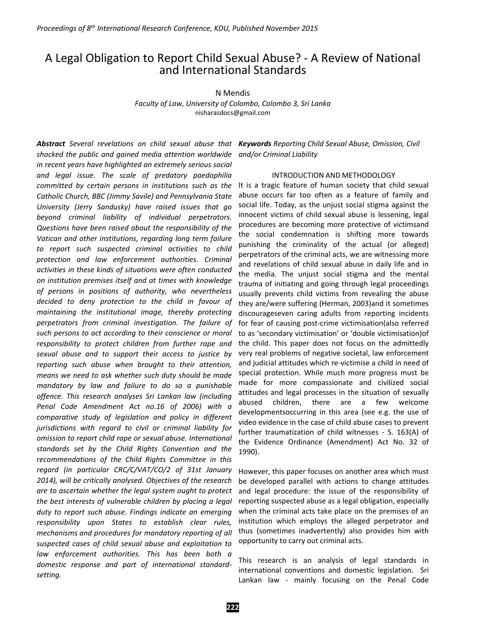# A Legal Obligation to Report Child Sexual Abuse? - A Review of National and International Standards

N Mendis

*Faculty of Law, University of Colombo, Colombo 3, Sri Lanka* nisharasdocs@gmail.com

*shocked the public and gained media attention worldwide in recent years have highlighted an extremely serious social and legal issue. The scale of predatory paedophilia committed by certain persons in institutions such as the Catholic Church, BBC (Jimmy Savile) and Pennsylvania State University (Jerry Sandusky) have raised issues that go beyond criminal liability of individual perpetrators. Questions have been raised about the responsibility of the Vatican and other institutions, regarding long term failure to report such suspected criminal activities to child protection and law enforcement authorities. Criminal activities in these kinds of situations were often conducted on institution premises itself and at times with knowledge of persons in positions of authority, who nevertheless decided to deny protection to the child in favour of maintaining the institutional image, thereby protecting perpetrators from criminal investigation. The failure of such persons to act according to their conscience or moral responsibility to protect children from further rape and sexual abuse and to support their access to justice by reporting such abuse when brought to their attention, means we need to ask whether such duty should be made mandatory by law and failure to do so a punishable offence. This research analyses Sri Lankan law (including Penal Code Amendment Act no.16 of 2006) with a comparative study of legislation and policy in different jurisdictions with regard to civil or criminal liability for omission to report child rape or sexual abuse. International standards set by the Child Rights Convention and the recommendations of the Child Rights Committee in this regard (in particular CRC/C/VAT/CO/2 of 31st January 2014), will be critically analysed. Objectives of the research are to ascertain whether the legal system ought to protect the best interests of vulnerable children by placing a legal duty to report such abuse. Findings indicate an emerging responsibility upon States to establish clear rules, mechanisms and procedures for mandatory reporting of all suspected cases of child sexual abuse and exploitation to law enforcement authorities. This has been both a domestic response and part of international standardsetting.*

*Abstract Several revelations on child sexual abuse that Keywords Reporting Child Sexual Abuse, Omission, Civil and/or Criminal Liability*

## INTRODUCTION AND METHODOLOGY

It is a tragic feature of human society that child sexual abuse occurs far too often as a feature of family and social life. Today, as the unjust social stigma against the innocent victims of child sexual abuse is lessening, legal procedures are becoming more protective of victimsand the social condemnation is shifting more towards punishing the criminality of the actual (or alleged) perpetrators of the criminal acts, we are witnessing more and revelations of child sexual abuse in daily life and in the media. The unjust social stigma and the mental trauma of initiating and going through legal proceedings usually prevents child victims from revealing the abuse they are/were suffering (Herman, 2003)and it sometimes discourageseven caring adults from reporting incidents for fear of causing post-crime victimisation(also referred to as 'secondary victimisation' or 'double victimisation)of the child. This paper does not focus on the admittedly very real problems of negative societal, law enforcement and judicial attitudes which re-victimise a child in need of special protection. While much more progress must be made for more compassionate and civilized social attitudes and legal processes in the situation of sexually abused children, there are a few welcome developmentsoccurring in this area (see e.g. the use of video evidence in the case of child abuse cases to prevent further traumatization of child witnesses - S. 163(A) of the Evidence Ordinance (Amendment) Act No. 32 of 1990).

However, this paper focuses on another area which must be developed parallel with actions to change attitudes and legal procedure: the issue of the responsibility of reporting suspected abuse as a legal obligation, especially when the criminal acts take place on the premises of an institution which employs the alleged perpetrator and thus (sometimes inadvertently) also provides him with opportunity to carry out criminal acts.

This research is an analysis of legal standards in international conventions and domestic legislation. Sri Lankan law - mainly focusing on the Penal Code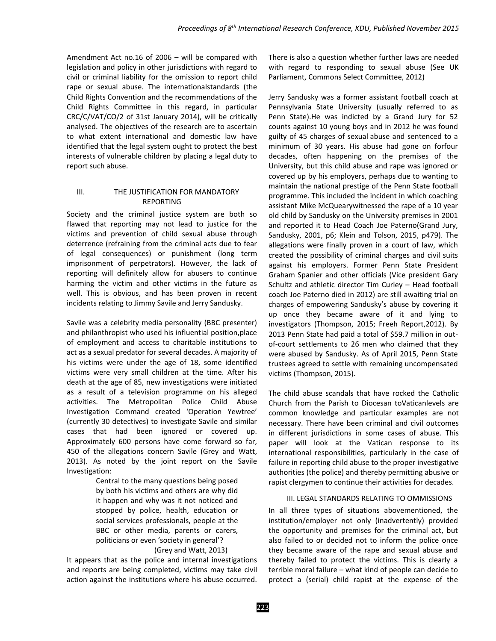Amendment Act no.16 of 2006 – will be compared with legislation and policy in other jurisdictions with regard to civil or criminal liability for the omission to report child rape or sexual abuse. The internationalstandards (the Child Rights Convention and the recommendations of the Child Rights Committee in this regard, in particular CRC/C/VAT/CO/2 of 31st January 2014), will be critically analysed. The objectives of the research are to ascertain to what extent international and domestic law have identified that the legal system ought to protect the best interests of vulnerable children by placing a legal duty to report such abuse.

# III. THE JUSTIFICATION FOR MANDATORY REPORTING

Society and the criminal justice system are both so flawed that reporting may not lead to justice for the victims and prevention of child sexual abuse through deterrence (refraining from the criminal acts due to fear of legal consequences) or punishment (long term imprisonment of perpetrators). However, the lack of reporting will definitely allow for abusers to continue harming the victim and other victims in the future as well. This is obvious, and has been proven in recent incidents relating to Jimmy Savile and Jerry Sandusky.

Savile was a celebrity media personality (BBC presenter) and philanthropist who used his influential position,place of employment and access to charitable institutions to act as a sexual predator for several decades. A majority of his victims were under the age of 18, some identified victims were very small children at the time. After his death at the age of 85, new investigations were initiated as a result of a television programme on his alleged activities. The Metropolitan Police Child Abuse Investigation Command created 'Operation Yewtree' (currently 30 detectives) to investigate Savile and similar cases that had been ignored or covered up. Approximately 600 persons have come forward so far, 450 of the allegations concern Savile (Grey and Watt, 2013). As noted by the joint report on the Savile Investigation:

> Central to the many questions being posed by both his victims and others are why did it happen and why was it not noticed and stopped by police, health, education or social services professionals, people at the BBC or other media, parents or carers, politicians or even 'society in general'? (Grey and Watt, 2013)

It appears that as the police and internal investigations and reports are being completed, victims may take civil action against the institutions where his abuse occurred. There is also a question whether further laws are needed with regard to responding to sexual abuse (See UK Parliament, Commons Select Committee, 2012)

Jerry Sandusky was a former assistant football coach at Pennsylvania State University (usually referred to as Penn State).He was indicted by a Grand Jury for 52 counts against 10 young boys and in 2012 he was found guilty of 45 charges of sexual abuse and sentenced to a minimum of 30 years. His abuse had gone on forfour decades, often happening on the premises of the University, but this child abuse and rape was ignored or covered up by his employers, perhaps due to wanting to maintain the national prestige of the Penn State football programme. This included the incident in which coaching assistant Mike McQuearywitnessed the rape of a 10 year old child by Sandusky on the University premises in 2001 and reported it to Head Coach Joe Paterno(Grand Jury, Sandusky, 2001, p6; Klein and Tolson, 2015, p479). The allegations were finally proven in a court of law, which created the possibility of criminal charges and civil suits against his employers. Former Penn State President Graham Spanier and other officials (Vice president Gary Schultz and athletic director Tim Curley – Head football coach Joe Paterno died in 2012) are still awaiting trial on charges of empowering Sandusky's abuse by covering it up once they became aware of it and lying to investigators (Thompson, 2015; Freeh Report,2012). By 2013 Penn State had paid a total of \$59.7 million in outof-court settlements to 26 men who claimed that they were abused by Sandusky. As of April 2015, Penn State trustees agreed to settle with remaining uncompensated victims (Thompson, 2015).

The child abuse scandals that have rocked the Catholic Church from the Parish to Diocesan toVaticanlevels are common knowledge and particular examples are not necessary. There have been criminal and civil outcomes in different jurisdictions in some cases of abuse. This paper will look at the Vatican response to its international responsibilities, particularly in the case of failure in reporting child abuse to the proper investigative authorities (the police) and thereby permitting abusive or rapist clergymen to continue their activities for decades.

## III. LEGAL STANDARDS RELATING TO OMMISSIONS

In all three types of situations abovementioned, the institution/employer not only (inadvertently) provided the opportunity and premises for the criminal act, but also failed to or decided not to inform the police once they became aware of the rape and sexual abuse and thereby failed to protect the victims. This is clearly a terrible moral failure – what kind of people can decide to protect a (serial) child rapist at the expense of the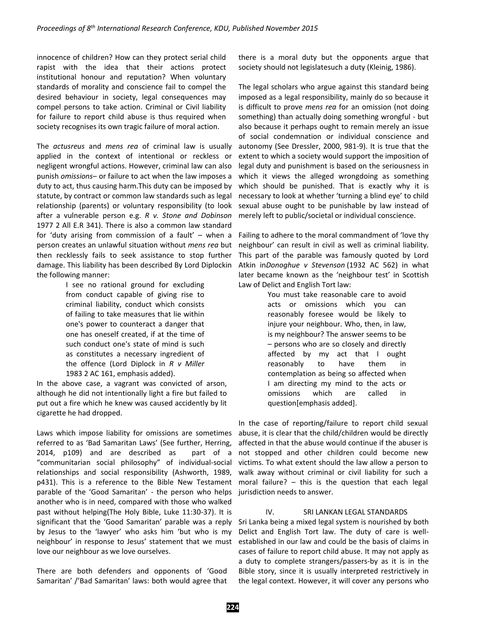innocence of children? How can they protect serial child rapist with the idea that their actions protect institutional honour and reputation? When voluntary standards of morality and conscience fail to compel the desired behaviour in society, legal consequences may compel persons to take action. Criminal or Civil liability for failure to report child abuse is thus required when society recognises its own tragic failure of moral action.

The *actusreus* and *mens rea* of criminal law is usually applied in the context of intentional or reckless or negligent wrongful actions. However, criminal law can also punish *omissions*– or failure to act when the law imposes a duty to act, thus causing harm.This duty can be imposed by statute, by contract or common law standards such as legal relationship (parents) or voluntary responsibility (to look after a vulnerable person e.g. *R v. Stone and Dobinson*  1977 2 All E.R 341). There is also a common law standard for 'duty arising from commission of a fault' – when a person creates an unlawful situation without *mens rea* but then recklessly fails to seek assistance to stop further damage. This liability has been described By Lord Diplockin the following manner:

> I see no rational ground for excluding from conduct capable of giving rise to criminal liability, conduct which consists of failing to take measures that lie within one's power to counteract a danger that one has oneself created, if at the time of such conduct one's state of mind is such as constitutes a necessary ingredient of the offence (Lord Diplock in *R v Miller* 1983 2 AC 161, emphasis added).

In the above case, a vagrant was convicted of arson, although he did not intentionally light a fire but failed to put out a fire which he knew was caused accidently by lit cigarette he had dropped.

Laws which impose liability for omissions are sometimes referred to as 'Bad Samaritan Laws' (See further, Herring, 2014, p109) and are described as part of a "communitarian social philosophy" of individual-social relationships and social responsibility (Ashworth, 1989, p431). This is a reference to the Bible New Testament parable of the 'Good Samaritan' - the person who helps another who is in need, compared with those who walked past without helping(The Holy Bible, Luke 11:30-37). It is significant that the 'Good Samaritan' parable was a reply by Jesus to the 'lawyer' who asks him 'but who is my neighbour' in response to Jesus' statement that we must love our neighbour as we love ourselves.

There are both defenders and opponents of 'Good Samaritan' /'Bad Samaritan' laws: both would agree that there is a moral duty but the opponents argue that society should not legislatesuch a duty (Kleinig, 1986).

The legal scholars who argue against this standard being imposed as a legal responsibility, mainly do so because it is difficult to prove *mens rea* for an omission (not doing something) than actually doing something wrongful - but also because it perhaps ought to remain merely an issue of social condemnation or individual conscience and autonomy (See Dressler, 2000, 981-9). It is true that the extent to which a society would support the imposition of legal duty and punishment is based on the seriousness in which it views the alleged wrongdoing as something which should be punished. That is exactly why it is necessary to look at whether 'turning a blind eye' to child sexual abuse ought to be punishable by law instead of merely left to public/societal or individual conscience.

Failing to adhere to the moral commandment of 'love thy neighbour' can result in civil as well as criminal liability. This part of the parable was famously quoted by Lord Atkin in*Donoghue v Stevenson* (1932 AC 562) in what later became known as the 'neighbour test' in Scottish Law of Delict and English Tort law:

> You must take reasonable care to avoid acts or omissions which you can reasonably foresee would be likely to injure your neighbour. Who, then, in law, is my neighbour? The answer seems to be – persons who are so closely and directly affected by my act that I ought reasonably to have them in contemplation as being so affected when I am directing my mind to the acts or omissions which are called in question[emphasis added].

In the case of reporting/failure to report child sexual abuse, it is clear that the child/children would be directly affected in that the abuse would continue if the abuser is not stopped and other children could become new victims. To what extent should the law allow a person to walk away without criminal or civil liability for such a moral failure? – this is the question that each legal jurisdiction needs to answer.

## IV. SRI LANKAN LEGAL STANDARDS

Sri Lanka being a mixed legal system is nourished by both Delict and English Tort law. The duty of care is wellestablished in our law and could be the basis of claims in cases of failure to report child abuse. It may not apply as a duty to complete strangers/passers-by as it is in the Bible story, since it is usually interpreted restrictively in the legal context. However, it will cover any persons who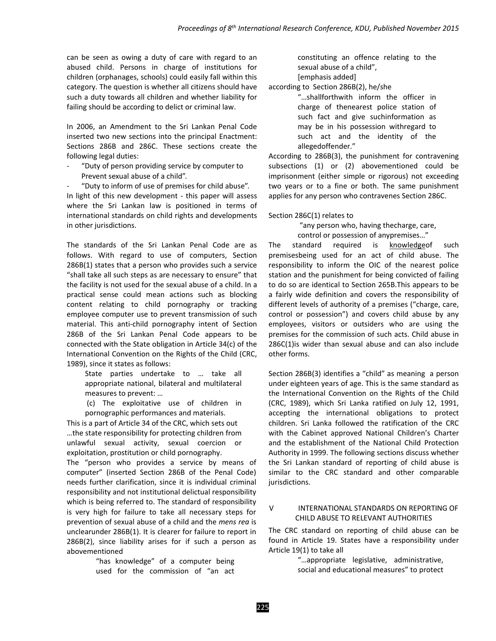can be seen as owing a duty of care with regard to an abused child. Persons in charge of institutions for children (orphanages, schools) could easily fall within this category. The question is whether all citizens should have such a duty towards all children and whether liability for failing should be according to delict or criminal law.

In 2006, an Amendment to the Sri Lankan Penal Code inserted two new sections into the principal Enactment: Sections 286B and 286C. These sections create the following legal duties:

"Duty of person providing service by computer to Prevent sexual abuse of a child".

"Duty to inform of use of premises for child abuse".

In light of this new development - this paper will assess where the Sri Lankan law is positioned in terms of international standards on child rights and developments in other jurisdictions.

The standards of the Sri Lankan Penal Code are as follows. With regard to use of computers, Section 286B(1) states that a person who provides such a service "shall take all such steps as are necessary to ensure" that the facility is not used for the sexual abuse of a child. In a practical sense could mean actions such as blocking content relating to child pornography or tracking employee computer use to prevent transmission of such material. This anti-child pornography intent of Section 286B of the Sri Lankan Penal Code appears to be connected with the State obligation in Article 34(c) of the International Convention on the Rights of the Child (CRC, 1989), since it states as follows:

State parties undertake to … take all appropriate national, bilateral and multilateral measures to prevent: …

(c) The exploitative use of children in pornographic performances and materials.

This is a part of Article 34 of the CRC, which sets out …the state responsibility for protecting children from unlawful sexual activity, sexual coercion or exploitation, prostitution or child pornography.

The "person who provides a service by means of computer" (inserted Section 286B of the Penal Code) needs further clarification, since it is individual criminal responsibility and not institutional delictual responsibility which is being referred to. The standard of responsibility is very high for failure to take all necessary steps for prevention of sexual abuse of a child and the *mens rea* is unclearunder 286B(1). It is clearer for failure to report in 286B(2), since liability arises for if such a person as abovementioned

> "has knowledge" of a computer being used for the commission of "an act

constituting an offence relating to the sexual abuse of a child", [emphasis added]

according to Section 286B(2), he/she

"…shallforthwith inform the officer in charge of thenearest police station of such fact and give suchinformation as may be in his possession withregard to such act and the identity of the allegedoffender."

According to 286B(3), the punishment for contravening subsections (1) or (2) abovementioned could be imprisonment (either simple or rigorous) not exceeding two years or to a fine or both. The same punishment applies for any person who contravenes Section 286C.

Section 286C(1) relates to

"any person who, having thecharge, care, control or possession of anypremises…"

The standard required is knowledgeof such premisesbeing used for an act of child abuse. The responsibility to inform the OIC of the nearest police station and the punishment for being convicted of failing to do so are identical to Section 265B.This appears to be a fairly wide definition and covers the responsibility of different levels of authority of a premises ("charge, care, control or possession") and covers child abuse by any employees, visitors or outsiders who are using the premises for the commission of such acts. Child abuse in 286C(1)is wider than sexual abuse and can also include other forms.

Section 286B(3) identifies a "child" as meaning a person under eighteen years of age. This is the same standard as the International Convention on the Rights of the Child (CRC, 1989), which Sri Lanka ratified on July 12, 1991, accepting the international obligations to protect children. Sri Lanka followed the ratification of the CRC with the Cabinet approved National Children's Charter and the establishment of the National Child Protection Authority in 1999. The following sections discuss whether the Sri Lankan standard of reporting of child abuse is similar to the CRC standard and other comparable jurisdictions.

# V INTERNATIONAL STANDARDS ON REPORTING OF CHILD ABUSE TO RELEVANT AUTHORITIES

The CRC standard on reporting of child abuse can be found in Article 19. States have a responsibility under Article 19(1) to take all

> "…appropriate legislative, administrative, social and educational measures" to protect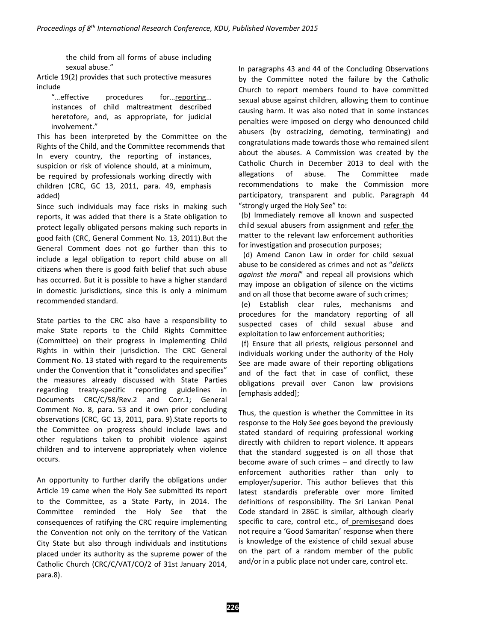the child from all forms of abuse including sexual abuse."

Article 19(2) provides that such protective measures include<br>effective..."

procedures for…reporting... instances of child maltreatment described heretofore, and, as appropriate, for judicial involvement."

This has been interpreted by the Committee on the Rights of the Child, and the Committee recommends that In every country, the reporting of instances, suspicion or risk of violence should, at a minimum, be required by professionals working directly with children (CRC, GC 13, 2011, para. 49, emphasis added)

Since such individuals may face risks in making such reports, it was added that there is a State obligation to protect legally obligated persons making such reports in good faith (CRC, General Comment No. 13, 2011).But the General Comment does not go further than this to include a legal obligation to report child abuse on all citizens when there is good faith belief that such abuse has occurred. But it is possible to have a higher standard in domestic jurisdictions, since this is only a minimum recommended standard.

State parties to the CRC also have a responsibility to make State reports to the Child Rights Committee (Committee) on their progress in implementing Child Rights in within their jurisdiction. The CRC General Comment No. 13 stated with regard to the requirements under the Convention that it "consolidates and specifies" the measures already discussed with State Parties regarding treaty-specific reporting guidelines in Documents CRC/C/58/Rev.2 and Corr.1; General Comment No. 8, para. 53 and it own prior concluding observations (CRC, GC 13, 2011, para. 9).State reports to the Committee on progress should include laws and other regulations taken to prohibit violence against children and to intervene appropriately when violence occurs.

An opportunity to further clarify the obligations under Article 19 came when the Holy See submitted its report to the Committee, as a State Party, in 2014. The Committee reminded the Holy See that the consequences of ratifying the CRC require implementing the Convention not only on the territory of the Vatican City State but also through individuals and institutions placed under its authority as the supreme power of the Catholic Church (CRC/C/VAT/CO/2 of 31st January 2014, para.8).

In paragraphs 43 and 44 of the Concluding Observations by the Committee noted the failure by the Catholic Church to report members found to have committed sexual abuse against children, allowing them to continue causing harm. It was also noted that in some instances penalties were imposed on clergy who denounced child abusers (by ostracizing, demoting, terminating) and congratulations made towards those who remained silent about the abuses. A Commission was created by the Catholic Church in December 2013 to deal with the allegations of abuse. The Committee made recommendations to make the Commission more participatory, transparent and public. Paragraph 44 "strongly urged the Holy See" to:

(b) Immediately remove all known and suspected child sexual abusers from assignment and refer the matter to the relevant law enforcement authorities for investigation and prosecution purposes;

(d) Amend Canon Law in order for child sexual abuse to be considered as crimes and not as "*delicts against the moral*" and repeal all provisions which may impose an obligation of silence on the victims and on all those that become aware of such crimes;

(e) Establish clear rules, mechanisms and procedures for the mandatory reporting of all suspected cases of child sexual abuse and exploitation to law enforcement authorities;

(f) Ensure that all priests, religious personnel and individuals working under the authority of the Holy See are made aware of their reporting obligations and of the fact that in case of conflict, these obligations prevail over Canon law provisions [emphasis added];

Thus, the question is whether the Committee in its response to the Holy See goes beyond the previously stated standard of requiring professional working directly with children to report violence. It appears that the standard suggested is on all those that become aware of such crimes – and directly to law enforcement authorities rather than only to employer/superior. This author believes that this latest standardis preferable over more limited definitions of responsibility. The Sri Lankan Penal Code standard in 286C is similar, although clearly specific to care, control etc., of premisesand does not require a 'Good Samaritan' response when there is knowledge of the existence of child sexual abuse on the part of a random member of the public and/or in a public place not under care, control etc.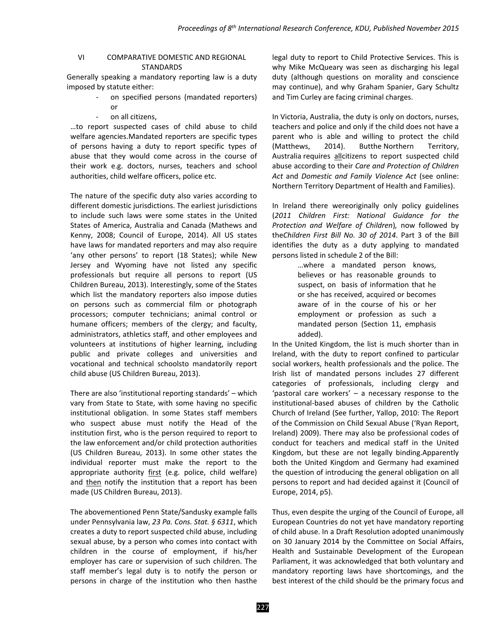# VI COMPARATIVE DOMESTIC AND REGIONAL **STANDARDS**

Generally speaking a mandatory reporting law is a duty imposed by statute either:

- on specified persons (mandated reporters) or
	- on all citizens,

…to report suspected cases of child abuse to child welfare agencies.Mandated reporters are specific types of persons having a duty to report specific types of abuse that they would come across in the course of their work e.g. doctors, nurses, teachers and school authorities, child welfare officers, police etc.

The nature of the specific duty also varies according to different domestic jurisdictions. The earliest jurisdictions to include such laws were some states in the United States of America, Australia and Canada (Mathews and Kenny, 2008; Council of Europe, 2014). All US states have laws for mandated reporters and may also require 'any other persons' to report (18 States); while New Jersey and Wyoming have not listed any specific professionals but require all persons to report (US Children Bureau, 2013). Interestingly, some of the States which list the mandatory reporters also impose duties on persons such as commercial film or photograph processors; computer technicians; animal control or humane officers; members of the clergy; and faculty, administrators, athletics staff, and other employees and volunteers at institutions of higher learning, including public and private colleges and universities and vocational and technical schoolsto mandatorily report child abuse (US Children Bureau, 2013).

There are also 'institutional reporting standards' – which vary from State to State, with some having no specific institutional obligation. In some States staff members who suspect abuse must notify the Head of the institution first, who is the person required to report to the law enforcement and/or child protection authorities (US Children Bureau, 2013). In some other states the individual reporter must make the report to the appropriate authority first (e.g. police, child welfare) and then notify the institution that a report has been made (US Children Bureau, 2013).

The abovementioned Penn State/Sandusky example falls under Pennsylvania law, *23 Pa. Cons. Stat. § 6311*, which creates a duty to report suspected child abuse, including sexual abuse, by a person who comes into contact with children in the course of employment, if his/her employer has care or supervision of such children. The staff member's legal duty is to notify the person or persons in charge of the institution who then hasthe legal duty to report to Child Protective Services. This is why Mike McQueary was seen as discharging his legal duty (although questions on morality and conscience may continue), and why Graham Spanier, Gary Schultz and Tim Curley are facing criminal charges.

In Victoria, Australia, the duty is only on doctors, nurses, teachers and police and only if the child does not have a parent who is able and willing to protect the child (Matthews, 2014). Butthe Northern Territory, Australia requires allcitizens to report suspected child abuse according to their *Care and Protection of Children Act* and *Domestic and Family Violence Act* (see online: Northern Territory Department of Health and Families).

In Ireland there wereoriginally only policy guidelines (*2011 Children First: National Guidance for the Protection and Welfare of Children*)*,* now followed by the*Children First Bill No. 30 of 2014*. Part 3 of the Bill identifies the duty as a duty applying to mandated persons listed in schedule 2 of the Bill:

> …where a mandated person knows, believes or has reasonable grounds to suspect, on basis of information that he or she has received, acquired or becomes aware of in the course of his or her employment or profession as such a mandated person (Section 11, emphasis added).

In the United Kingdom, the list is much shorter than in Ireland, with the duty to report confined to particular social workers, health professionals and the police. The Irish list of mandated persons includes 27 different categories of professionals, including clergy and 'pastoral care workers' – a necessary response to the institutional-based abuses of children by the Catholic Church of Ireland (See further, Yallop, 2010: The Report of the Commission on Child Sexual Abuse ('Ryan Report, Ireland) 2009). There may also be professional codes of conduct for teachers and medical staff in the United Kingdom, but these are not legally binding.Apparently both the United Kingdom and Germany had examined the question of introducing the general obligation on all persons to report and had decided against it (Council of Europe, 2014, p5).

Thus, even despite the urging of the Council of Europe, all European Countries do not yet have mandatory reporting of child abuse. In a Draft Resolution adopted unanimously on 30 January 2014 by the Committee on Social Affairs, Health and Sustainable Development of the European Parliament, it was acknowledged that both voluntary and mandatory reporting laws have shortcomings, and the best interest of the child should be the primary focus and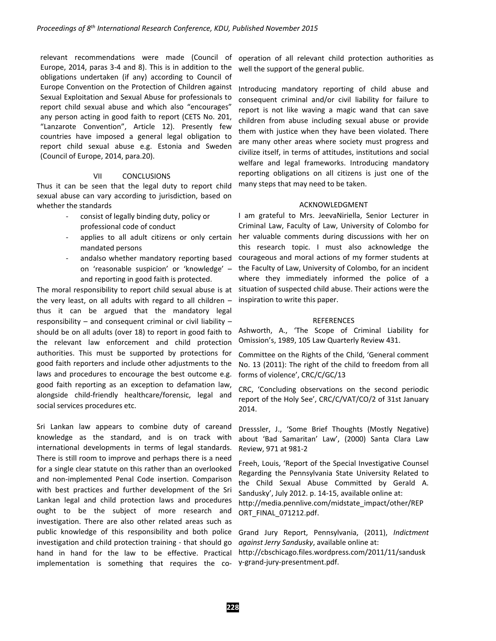relevant recommendations were made (Council of Europe, 2014, paras 3-4 and 8). This is in addition to the obligations undertaken (if any) according to Council of Europe Convention on the Protection of Children against Sexual Exploitation and Sexual Abuse for professionals to report child sexual abuse and which also "encourages" any person acting in good faith to report (CETS No. 201, "Lanzarote Convention", Article 12). Presently few countries have imposed a general legal obligation to report child sexual abuse e.g. Estonia and Sweden (Council of Europe, 2014, para.20).

### VII CONCLUSIONS

Thus it can be seen that the legal duty to report child sexual abuse can vary according to jurisdiction, based on whether the standards

- consist of legally binding duty, policy or professional code of conduct
- applies to all adult citizens or only certain mandated persons
- andalso whether mandatory reporting based on 'reasonable suspicion' or 'knowledge' – and reporting in good faith is protected.

The moral responsibility to report child sexual abuse is at the very least, on all adults with regard to all children – thus it can be argued that the mandatory legal responsibility – and consequent criminal or civil liability – should be on all adults (over 18) to report in good faith to the relevant law enforcement and child protection authorities. This must be supported by protections for good faith reporters and include other adjustments to the laws and procedures to encourage the best outcome e.g. good faith reporting as an exception to defamation law, alongside child-friendly healthcare/forensic, legal and social services procedures etc.

Sri Lankan law appears to combine duty of careand knowledge as the standard, and is on track with international developments in terms of legal standards. There is still room to improve and perhaps there is a need for a single clear statute on this rather than an overlooked and non-implemented Penal Code insertion. Comparison with best practices and further development of the Sri Lankan legal and child protection laws and procedures ought to be the subject of more research and investigation. There are also other related areas such as public knowledge of this responsibility and both police investigation and child protection training - that should go hand in hand for the law to be effective. Practical implementation is something that requires the co-

operation of all relevant child protection authorities as well the support of the general public.

Introducing mandatory reporting of child abuse and consequent criminal and/or civil liability for failure to report is not like waving a magic wand that can save children from abuse including sexual abuse or provide them with justice when they have been violated. There are many other areas where society must progress and civilize itself, in terms of attitudes, institutions and social welfare and legal frameworks. Introducing mandatory reporting obligations on all citizens is just one of the many steps that may need to be taken.

### ACKNOWLEDGMENT

I am grateful to Mrs. JeevaNiriella, Senior Lecturer in Criminal Law, Faculty of Law, University of Colombo for her valuable comments during discussions with her on this research topic. I must also acknowledge the courageous and moral actions of my former students at the Faculty of Law, University of Colombo, for an incident where they immediately informed the police of a situation of suspected child abuse. Their actions were the inspiration to write this paper.

#### REFERENCES

Ashworth, A., 'The Scope of Criminal Liability for Omission's, 1989, 105 Law Quarterly Review 431.

Committee on the Rights of the Child, 'General comment No. 13 (2011): The right of the child to freedom from all forms of violence', CRC/C/GC/13

CRC, 'Concluding observations on the second periodic report of the Holy See', CRC/C/VAT/CO/2 of 31st January 2014.

Dresssler, J., 'Some Brief Thoughts (Mostly Negative) about 'Bad Samaritan' Law', (2000) Santa Clara Law Review, 971 at 981-2

Freeh, Louis, 'Report of the Special Investigative Counsel Regarding the Pennsylvania State University Related to the Child Sexual Abuse Committed by Gerald A. Sandusky', July 2012. p. 14-15, available online at: http://media.pennlive.com/midstate\_impact/other/REP ORT\_FINAL\_071212.pdf.

Grand Jury Report, Pennsylvania, (2011), *Indictment against Jerry Sandusky*, available online at:

http://cbschicago.files.wordpress.com/2011/11/sandusk y-grand-jury-presentment.pdf.